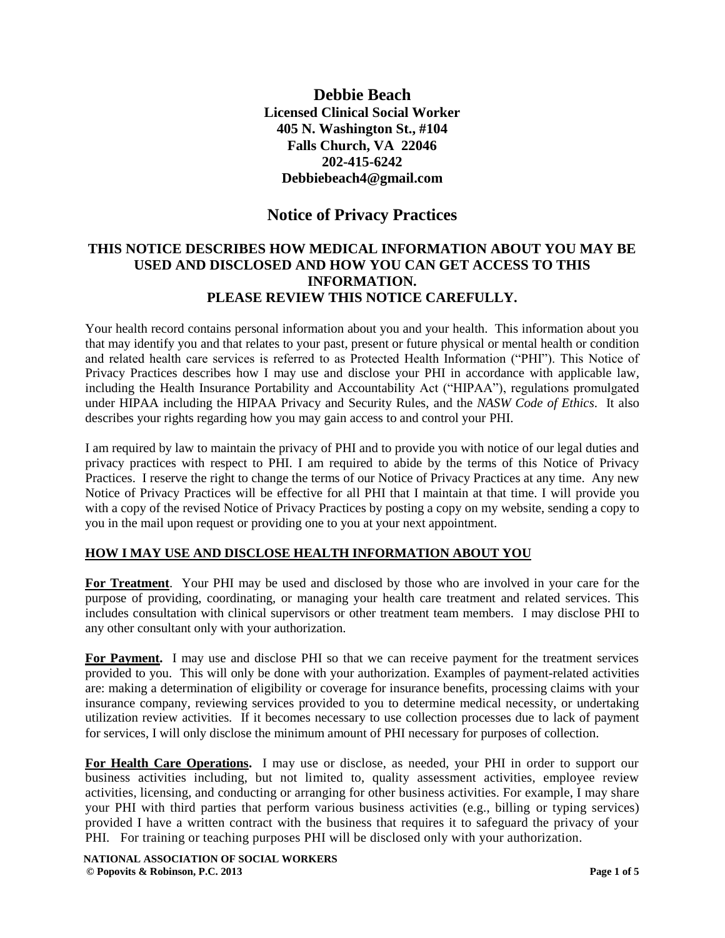**Debbie Beach Licensed Clinical Social Worker 405 N. Washington St., #104 Falls Church, VA 22046 202-415-6242 Debbiebeach4@gmail.com**

# **Notice of Privacy Practices**

## **THIS NOTICE DESCRIBES HOW MEDICAL INFORMATION ABOUT YOU MAY BE USED AND DISCLOSED AND HOW YOU CAN GET ACCESS TO THIS INFORMATION. PLEASE REVIEW THIS NOTICE CAREFULLY.**

Your health record contains personal information about you and your health. This information about you that may identify you and that relates to your past, present or future physical or mental health or condition and related health care services is referred to as Protected Health Information ("PHI"). This Notice of Privacy Practices describes how I may use and disclose your PHI in accordance with applicable law, including the Health Insurance Portability and Accountability Act ("HIPAA"), regulations promulgated under HIPAA including the HIPAA Privacy and Security Rules, and the *NASW Code of Ethics*. It also describes your rights regarding how you may gain access to and control your PHI.

I am required by law to maintain the privacy of PHI and to provide you with notice of our legal duties and privacy practices with respect to PHI. I am required to abide by the terms of this Notice of Privacy Practices. I reserve the right to change the terms of our Notice of Privacy Practices at any time. Any new Notice of Privacy Practices will be effective for all PHI that I maintain at that time. I will provide you with a copy of the revised Notice of Privacy Practices by posting a copy on my website, sending a copy to you in the mail upon request or providing one to you at your next appointment.

### **HOW I MAY USE AND DISCLOSE HEALTH INFORMATION ABOUT YOU**

**For Treatment**.Your PHI may be used and disclosed by those who are involved in your care for the purpose of providing, coordinating, or managing your health care treatment and related services. This includes consultation with clinical supervisors or other treatment team members. I may disclose PHI to any other consultant only with your authorization.

For Payment. I may use and disclose PHI so that we can receive payment for the treatment services provided to you. This will only be done with your authorization. Examples of payment-related activities are: making a determination of eligibility or coverage for insurance benefits, processing claims with your insurance company, reviewing services provided to you to determine medical necessity, or undertaking utilization review activities. If it becomes necessary to use collection processes due to lack of payment for services, I will only disclose the minimum amount of PHI necessary for purposes of collection.

**For Health Care Operations.** I may use or disclose, as needed, your PHI in order to support our business activities including, but not limited to, quality assessment activities, employee review activities, licensing, and conducting or arranging for other business activities. For example, I may share your PHI with third parties that perform various business activities (e.g., billing or typing services) provided I have a written contract with the business that requires it to safeguard the privacy of your PHI. For training or teaching purposes PHI will be disclosed only with your authorization.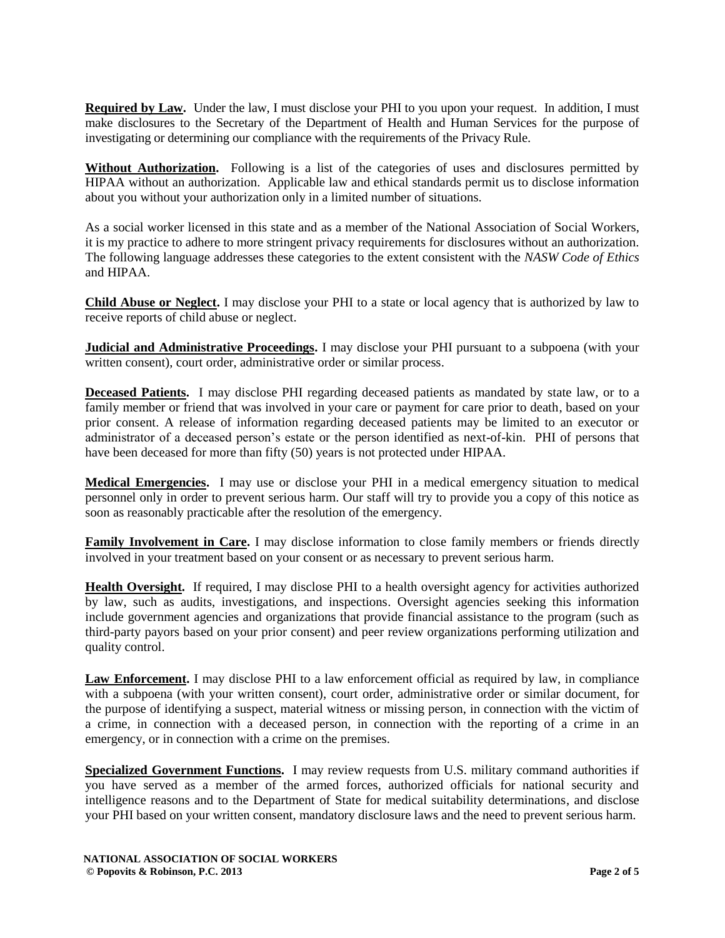**Required by Law.** Under the law, I must disclose your PHI to you upon your request. In addition, I must make disclosures to the Secretary of the Department of Health and Human Services for the purpose of investigating or determining our compliance with the requirements of the Privacy Rule.

**Without Authorization.** Following is a list of the categories of uses and disclosures permitted by HIPAA without an authorization. Applicable law and ethical standards permit us to disclose information about you without your authorization only in a limited number of situations.

As a social worker licensed in this state and as a member of the National Association of Social Workers, it is my practice to adhere to more stringent privacy requirements for disclosures without an authorization. The following language addresses these categories to the extent consistent with the *NASW Code of Ethics* and HIPAA.

**Child Abuse or Neglect.** I may disclose your PHI to a state or local agency that is authorized by law to receive reports of child abuse or neglect.

**Judicial and Administrative Proceedings.** I may disclose your PHI pursuant to a subpoena (with your written consent), court order, administrative order or similar process.

**Deceased Patients.** I may disclose PHI regarding deceased patients as mandated by state law, or to a family member or friend that was involved in your care or payment for care prior to death, based on your prior consent. A release of information regarding deceased patients may be limited to an executor or administrator of a deceased person's estate or the person identified as next-of-kin. PHI of persons that have been deceased for more than fifty (50) years is not protected under HIPAA.

**Medical Emergencies.** I may use or disclose your PHI in a medical emergency situation to medical personnel only in order to prevent serious harm. Our staff will try to provide you a copy of this notice as soon as reasonably practicable after the resolution of the emergency.

**Family Involvement in Care.** I may disclose information to close family members or friends directly involved in your treatment based on your consent or as necessary to prevent serious harm.

**Health Oversight.** If required, I may disclose PHI to a health oversight agency for activities authorized by law, such as audits, investigations, and inspections. Oversight agencies seeking this information include government agencies and organizations that provide financial assistance to the program (such as third-party payors based on your prior consent) and peer review organizations performing utilization and quality control.

**Law Enforcement.** I may disclose PHI to a law enforcement official as required by law, in compliance with a subpoena (with your written consent), court order, administrative order or similar document, for the purpose of identifying a suspect, material witness or missing person, in connection with the victim of a crime, in connection with a deceased person, in connection with the reporting of a crime in an emergency, or in connection with a crime on the premises.

**Specialized Government Functions.** I may review requests from U.S. military command authorities if you have served as a member of the armed forces, authorized officials for national security and intelligence reasons and to the Department of State for medical suitability determinations, and disclose your PHI based on your written consent, mandatory disclosure laws and the need to prevent serious harm.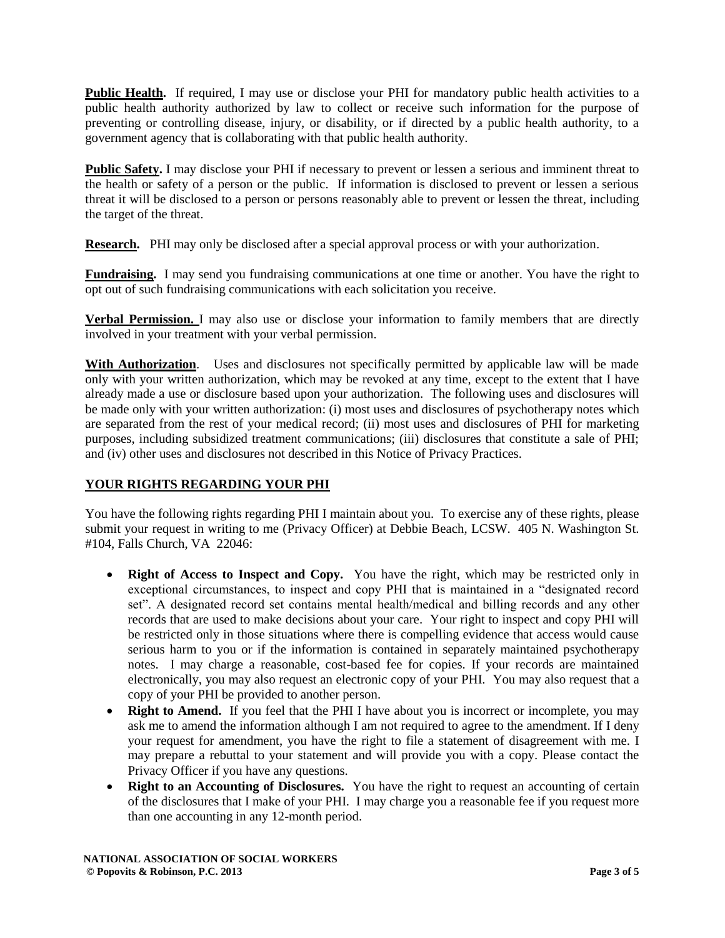**Public Health.** If required, I may use or disclose your PHI for mandatory public health activities to a public health authority authorized by law to collect or receive such information for the purpose of preventing or controlling disease, injury, or disability, or if directed by a public health authority, to a government agency that is collaborating with that public health authority.

**Public Safety.** I may disclose your PHI if necessary to prevent or lessen a serious and imminent threat to the health or safety of a person or the public. If information is disclosed to prevent or lessen a serious threat it will be disclosed to a person or persons reasonably able to prevent or lessen the threat, including the target of the threat.

**Research.** PHI may only be disclosed after a special approval process or with your authorization.

**Fundraising.** I may send you fundraising communications at one time or another. You have the right to opt out of such fundraising communications with each solicitation you receive.

**Verbal Permission.** I may also use or disclose your information to family members that are directly involved in your treatment with your verbal permission.

**With Authorization**. Uses and disclosures not specifically permitted by applicable law will be made only with your written authorization, which may be revoked at any time, except to the extent that I have already made a use or disclosure based upon your authorization. The following uses and disclosures will be made only with your written authorization: (i) most uses and disclosures of psychotherapy notes which are separated from the rest of your medical record; (ii) most uses and disclosures of PHI for marketing purposes, including subsidized treatment communications; (iii) disclosures that constitute a sale of PHI; and (iv) other uses and disclosures not described in this Notice of Privacy Practices.

#### **YOUR RIGHTS REGARDING YOUR PHI**

You have the following rights regarding PHI I maintain about you. To exercise any of these rights, please submit your request in writing to me (Privacy Officer) at Debbie Beach, LCSW. 405 N. Washington St. #104, Falls Church, VA 22046:

- **Right of Access to Inspect and Copy.** You have the right, which may be restricted only in exceptional circumstances, to inspect and copy PHI that is maintained in a "designated record set". A designated record set contains mental health/medical and billing records and any other records that are used to make decisions about your care. Your right to inspect and copy PHI will be restricted only in those situations where there is compelling evidence that access would cause serious harm to you or if the information is contained in separately maintained psychotherapy notes. I may charge a reasonable, cost-based fee for copies. If your records are maintained electronically, you may also request an electronic copy of your PHI. You may also request that a copy of your PHI be provided to another person.
- **Right to Amend.** If you feel that the PHI I have about you is incorrect or incomplete, you may ask me to amend the information although I am not required to agree to the amendment. If I deny your request for amendment, you have the right to file a statement of disagreement with me. I may prepare a rebuttal to your statement and will provide you with a copy. Please contact the Privacy Officer if you have any questions.
- **Right to an Accounting of Disclosures.** You have the right to request an accounting of certain of the disclosures that I make of your PHI. I may charge you a reasonable fee if you request more than one accounting in any 12-month period.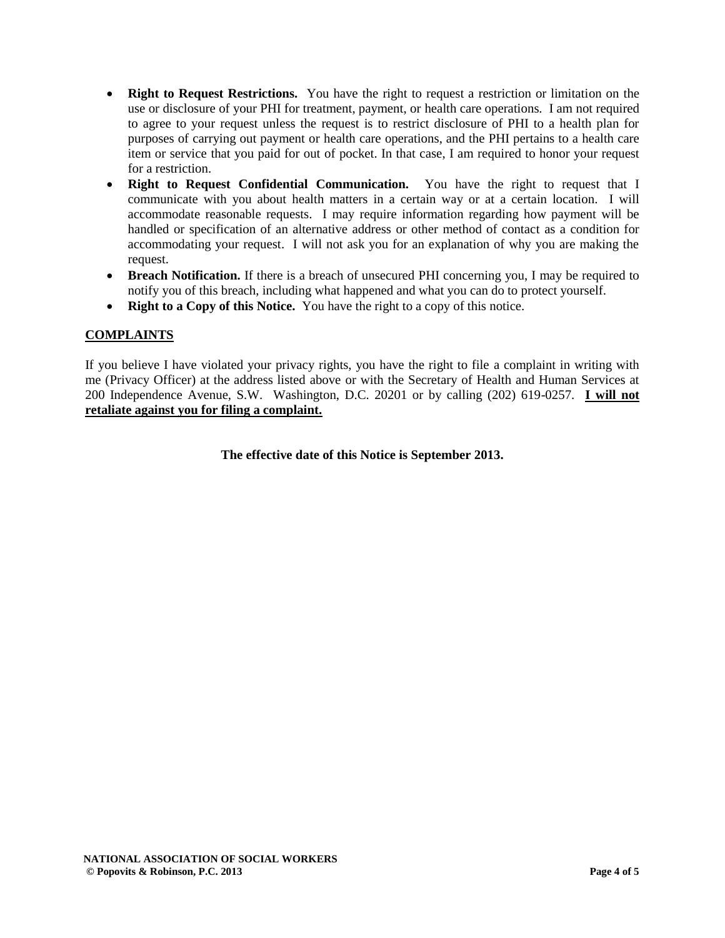- **Right to Request Restrictions.** You have the right to request a restriction or limitation on the use or disclosure of your PHI for treatment, payment, or health care operations. I am not required to agree to your request unless the request is to restrict disclosure of PHI to a health plan for purposes of carrying out payment or health care operations, and the PHI pertains to a health care item or service that you paid for out of pocket. In that case, I am required to honor your request for a restriction.
- **Right to Request Confidential Communication.** You have the right to request that I communicate with you about health matters in a certain way or at a certain location. I will accommodate reasonable requests. I may require information regarding how payment will be handled or specification of an alternative address or other method of contact as a condition for accommodating your request. I will not ask you for an explanation of why you are making the request.
- **Breach Notification.** If there is a breach of unsecured PHI concerning you, I may be required to notify you of this breach, including what happened and what you can do to protect yourself.
- **Right to a Copy of this Notice.** You have the right to a copy of this notice.

### **COMPLAINTS**

If you believe I have violated your privacy rights, you have the right to file a complaint in writing with me (Privacy Officer) at the address listed above or with the Secretary of Health and Human Services at 200 Independence Avenue, S.W. Washington, D.C. 20201 or by calling (202) 619-0257. **I will not retaliate against you for filing a complaint.** 

**The effective date of this Notice is September 2013.**